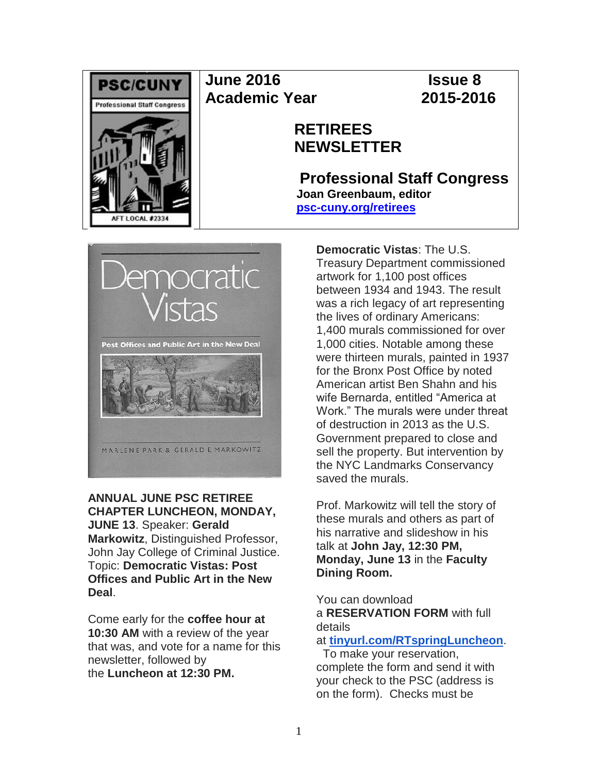

## **June 2016 Issue 8 Academic Year 2015-2016**

## **RETIREES NEWSLETTER**

**Professional Staff Congress Joan Greenbaum, editor [psc-cuny.org/retirees](http://www.psc-cuny.org/retirees)**



**ANNUAL JUNE PSC RETIREE CHAPTER LUNCHEON, MONDAY, JUNE 13**. Speaker: **Gerald Markowitz**, Distinguished Professor, John Jay College of Criminal Justice. Topic: **Democratic Vistas: Post Offices and Public Art in the New Deal**.

Come early for the **coffee hour at 10:30 AM** with a review of the year that was, and vote for a name for this newsletter, followed by the **Luncheon at 12:30 PM.**

**Democratic Vistas**: The U.S. Treasury Department commissioned artwork for 1,100 post offices between 1934 and 1943. The result was a rich legacy of art representing the lives of ordinary Americans: 1,400 murals commissioned for over 1,000 cities. Notable among these were thirteen murals, painted in 1937 for the Bronx Post Office by noted American artist Ben Shahn and his wife Bernarda, entitled "America at Work." The murals were under threat of destruction in 2013 as the U.S. Government prepared to close and sell the property. But intervention by the NYC Landmarks Conservancy saved the murals.

Prof. Markowitz will tell the story of these murals and others as part of his narrative and slideshow in his talk at **John Jay, 12:30 PM, Monday, June 13** in the **Faculty Dining Room.**

You can download a **RESERVATION FORM** with full details

### at **[tinyurl.com/RTspringLuncheon](http://tinyurl.com/RTspringLuncheon)**.

To make your reservation, complete the form and send it with your check to the PSC (address is on the form). Checks must be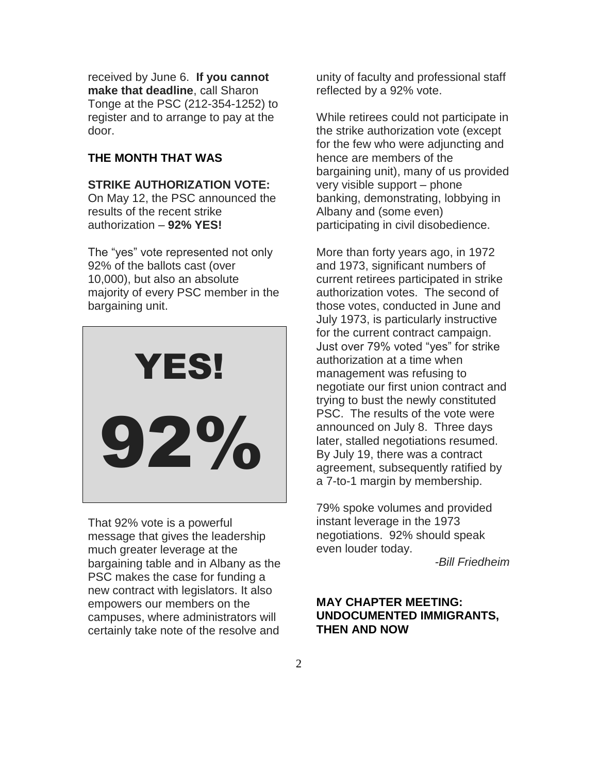received by June 6. **If you cannot make that deadline**, call Sharon Tonge at the PSC (212-354-1252) to register and to arrange to pay at the door.

#### **THE MONTH THAT WAS**

#### **STRIKE AUTHORIZATION VOTE:**

On May 12, the PSC announced the results of the recent strike authorization – **92% YES!**

The "yes" vote represented not only 92% of the ballots cast (over 10,000), but also an absolute majority of every PSC member in the bargaining unit.



That 92% vote is a powerful message that gives the leadership much greater leverage at the bargaining table and in Albany as the PSC makes the case for funding a new contract with legislators. It also empowers our members on the campuses, where administrators will certainly take note of the resolve and

unity of faculty and professional staff reflected by a 92% vote.

While retirees could not participate in the strike authorization vote (except for the few who were adjuncting and hence are members of the bargaining unit), many of us provided very visible support – phone banking, demonstrating, lobbying in Albany and (some even) participating in civil disobedience.

More than forty years ago, in 1972 and 1973, significant numbers of current retirees participated in strike authorization votes. The second of those votes, conducted in June and July 1973, is particularly instructive for the current contract campaign. Just over 79% voted "yes" for strike authorization at a time when management was refusing to negotiate our first union contract and trying to bust the newly constituted PSC. The results of the vote were announced on July 8. Three days later, stalled negotiations resumed. By July 19, there was a contract agreement, subsequently ratified by a 7-to-1 margin by membership.

79% spoke volumes and provided instant leverage in the 1973 negotiations. 92% should speak even louder today.

*-Bill Friedheim*

#### **MAY CHAPTER MEETING: UNDOCUMENTED IMMIGRANTS, THEN AND NOW**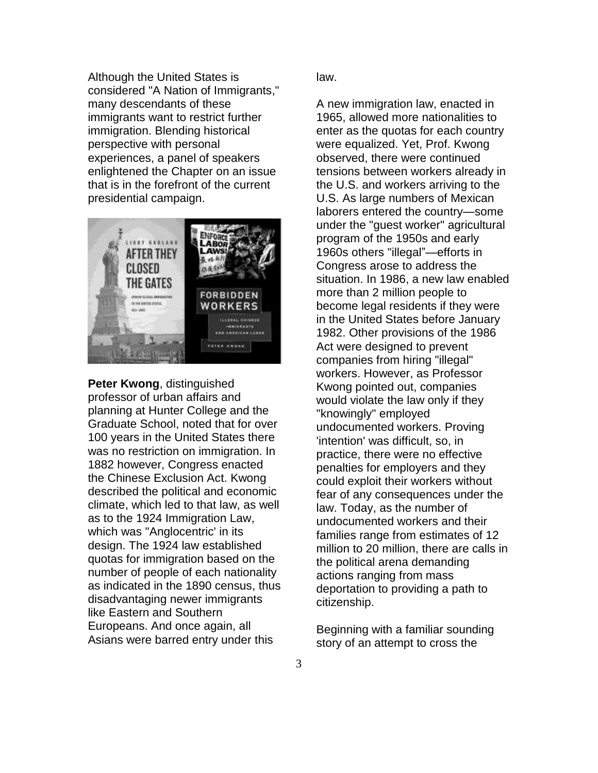Although the United States is considered "A Nation of Immigrants," many descendants of these immigrants want to restrict further immigration. Blending historical perspective with personal experiences, a panel of speakers enlightened the Chapter on an issue that is in the forefront of the current presidential campaign.



**Peter Kwong**, distinguished professor of urban affairs and planning at Hunter College and the Graduate School, noted that for over 100 years in the United States there was no restriction on immigration. In 1882 however, Congress enacted the Chinese Exclusion Act. Kwong described the political and economic climate, which led to that law, as well as to the 1924 Immigration Law, which was "Anglocentric' in its design. The 1924 law established quotas for immigration based on the number of people of each nationality as indicated in the 1890 census, thus disadvantaging newer immigrants like Eastern and Southern Europeans. And once again, all Asians were barred entry under this

law.

A new immigration law, enacted in 1965, allowed more nationalities to enter as the quotas for each country were equalized. Yet, Prof. Kwong observed, there were continued tensions between workers already in the U.S. and workers arriving to the U.S. As large numbers of Mexican laborers entered the country—some under the "guest worker" agricultural program of the 1950s and early 1960s others "illegal"—efforts in Congress arose to address the situation. In 1986, a new law enabled more than 2 million people to become legal residents if they were in the United States before January 1982. Other provisions of the 1986 Act were designed to prevent companies from hiring "illegal" workers. However, as Professor Kwong pointed out, companies would violate the law only if they "knowingly" employed undocumented workers. Proving 'intention' was difficult, so, in practice, there were no effective penalties for employers and they could exploit their workers without fear of any consequences under the law. Today, as the number of undocumented workers and their families range from estimates of 12 million to 20 million, there are calls in the political arena demanding actions ranging from mass deportation to providing a path to citizenship.

Beginning with a familiar sounding story of an attempt to cross the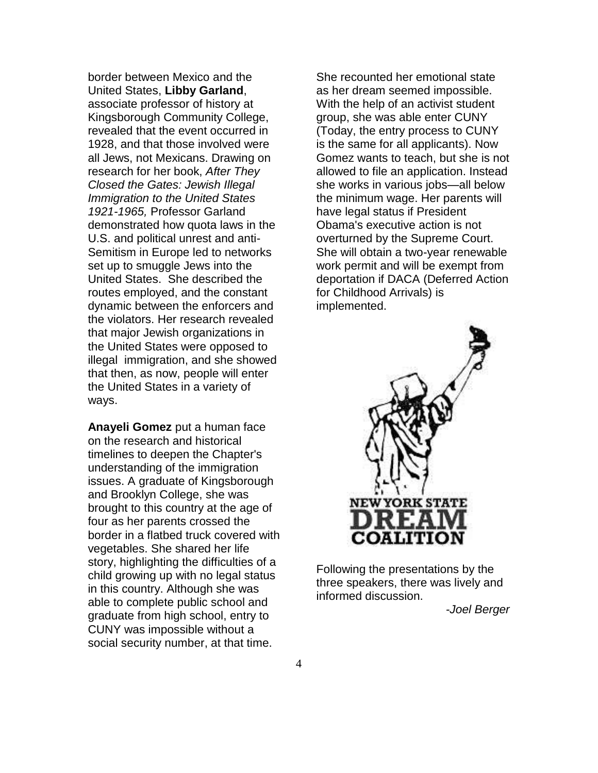border between Mexico and the United States, **Libby Garland**, associate professor of history at Kingsborough Community College, revealed that the event occurred in 1928, and that those involved were all Jews, not Mexicans. Drawing on research for her book, *After They Closed the Gates: Jewish Illegal Immigration to the United States 1921-1965,* Professor Garland demonstrated how quota laws in the U.S. and political unrest and anti-Semitism in Europe led to networks set up to smuggle Jews into the United States. She described the routes employed, and the constant dynamic between the enforcers and the violators. Her research revealed that major Jewish organizations in the United States were opposed to illegal immigration, and she showed that then, as now, people will enter the United States in a variety of ways.

**Anayeli Gomez** put a human face on the research and historical timelines to deepen the Chapter's understanding of the immigration issues. A graduate of Kingsborough and Brooklyn College, she was brought to this country at the age of four as her parents crossed the border in a flatbed truck covered with vegetables. She shared her life story, highlighting the difficulties of a child growing up with no legal status in this country. Although she was able to complete public school and graduate from high school, entry to CUNY was impossible without a social security number, at that time.

She recounted her emotional state as her dream seemed impossible. With the help of an activist student group, she was able enter CUNY (Today, the entry process to CUNY is the same for all applicants). Now Gomez wants to teach, but she is not allowed to file an application. Instead she works in various jobs—all below the minimum wage. Her parents will have legal status if President Obama's executive action is not overturned by the Supreme Court. She will obtain a two-year renewable work permit and will be exempt from deportation if DACA (Deferred Action for Childhood Arrivals) is implemented.



Following the presentations by the three speakers, there was lively and informed discussion.

*-Joel Berger*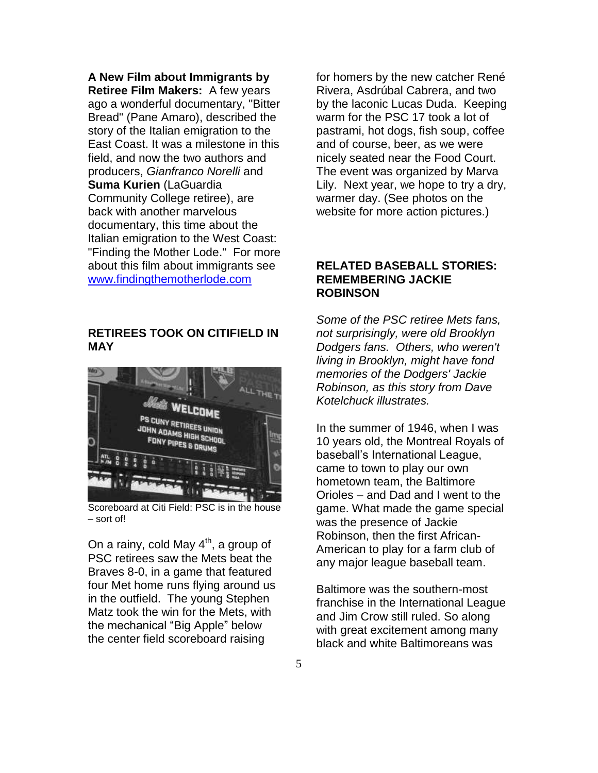**A New Film about Immigrants by Retiree Film Makers:** A few years ago a wonderful documentary, "Bitter Bread" (Pane Amaro), described the story of the Italian emigration to the East Coast. It was a milestone in this field, and now the two authors and producers, *Gianfranco Norelli* and **Suma Kurien** (LaGuardia Community College retiree), are back with another marvelous documentary, this time about the Italian emigration to the West Coast: "Finding the Mother Lode." For more about this film about immigrants see [www.findingthemotherlode.com](http://www.findingthemotherlode.com/)

#### **RETIREES TOOK ON CITIFIELD IN MAY**



Scoreboard at Citi Field: PSC is in the house – sort of!

On a rainy, cold May  $4<sup>th</sup>$ , a group of PSC retirees saw the Mets beat the Braves 8-0, in a game that featured four Met home runs flying around us in the outfield. The young Stephen Matz took the win for the Mets, with the mechanical "Big Apple" below the center field scoreboard raising

for homers by the new catcher René Rivera, Asdrúbal Cabrera, and two by the laconic Lucas Duda. Keeping warm for the PSC 17 took a lot of pastrami, hot dogs, fish soup, coffee and of course, beer, as we were nicely seated near the Food Court. The event was organized by Marva Lily. Next year, we hope to try a dry, warmer day. (See photos on the website for more action pictures.)

#### **RELATED BASEBALL STORIES: REMEMBERING JACKIE ROBINSON**

*Some of the PSC retiree Mets fans, not surprisingly, were old Brooklyn Dodgers fans. Others, who weren't living in Brooklyn, might have fond memories of the Dodgers' Jackie Robinson, as this story from Dave Kotelchuck illustrates.*

In the summer of 1946, when I was 10 years old, the Montreal Royals of baseball's International League, came to town to play our own hometown team, the Baltimore Orioles – and Dad and I went to the game. What made the game special was the presence of Jackie Robinson, then the first African-American to play for a farm club of any major league baseball team.

Baltimore was the southern-most franchise in the International League and Jim Crow still ruled. So along with great excitement among many black and white Baltimoreans was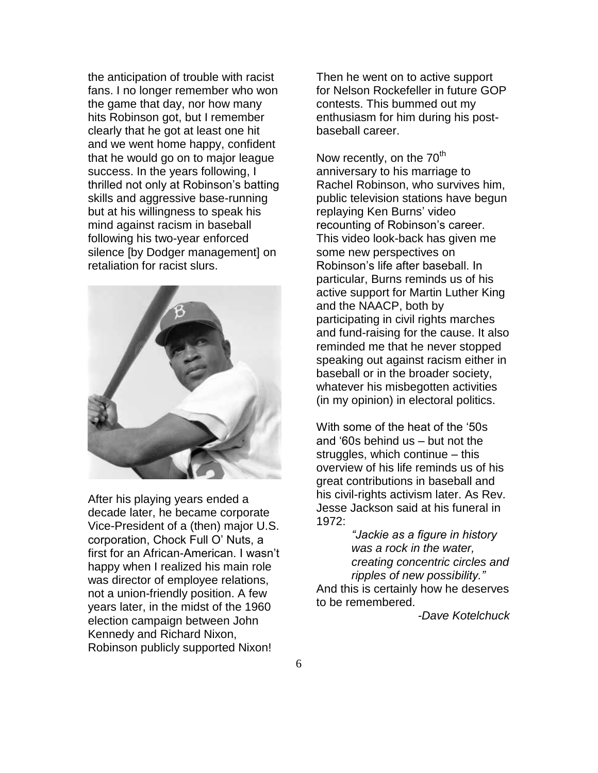the anticipation of trouble with racist fans. I no longer remember who won the game that day, nor how many hits Robinson got, but I remember clearly that he got at least one hit and we went home happy, confident that he would go on to major league success. In the years following, I thrilled not only at Robinson's batting skills and aggressive base-running but at his willingness to speak his mind against racism in baseball following his two-year enforced silence [by Dodger management] on retaliation for racist slurs.



After his playing years ended a decade later, he became corporate Vice-President of a (then) major U.S. corporation, Chock Full O' Nuts, a first for an African-American. I wasn't happy when I realized his main role was director of employee relations, not a union-friendly position. A few years later, in the midst of the 1960 election campaign between John Kennedy and Richard Nixon, Robinson publicly supported Nixon!

Then he went on to active support for Nelson Rockefeller in future GOP contests. This bummed out my enthusiasm for him during his postbaseball career.

Now recently, on the 70<sup>th</sup> anniversary to his marriage to Rachel Robinson, who survives him, public television stations have begun replaying Ken Burns' video recounting of Robinson's career. This video look-back has given me some new perspectives on Robinson's life after baseball. In particular, Burns reminds us of his active support for Martin Luther King and the NAACP, both by participating in civil rights marches and fund-raising for the cause. It also reminded me that he never stopped speaking out against racism either in baseball or in the broader society, whatever his misbegotten activities (in my opinion) in electoral politics.

With some of the heat of the '50s and '60s behind us – but not the struggles, which continue – this overview of his life reminds us of his great contributions in baseball and his civil-rights activism later. As Rev. Jesse Jackson said at his funeral in 1972:

> *"Jackie as a figure in history was a rock in the water, creating concentric circles and ripples of new possibility."*

And this is certainly how he deserves to be remembered.

*-Dave Kotelchuck*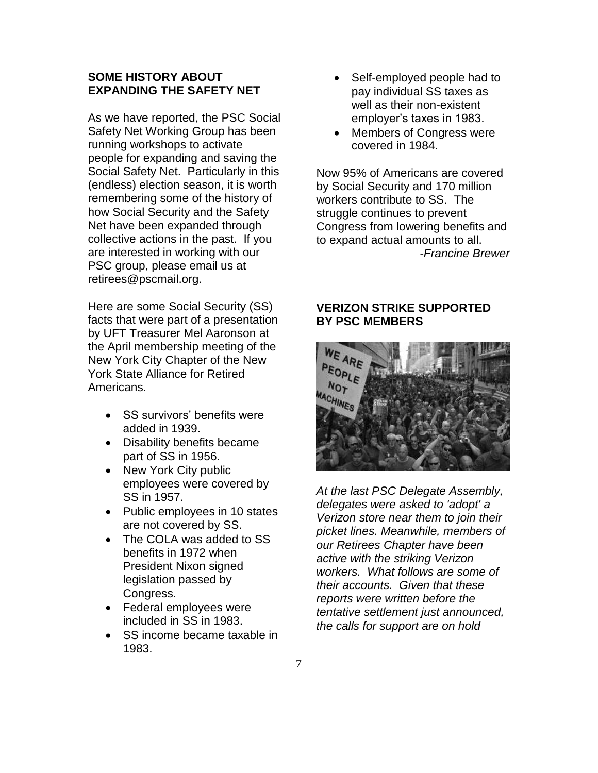#### **SOME HISTORY ABOUT EXPANDING THE SAFETY NET**

As we have reported, the PSC Social Safety Net Working Group has been running workshops to activate people for expanding and saving the Social Safety Net. Particularly in this (endless) election season, it is worth remembering some of the history of how Social Security and the Safety Net have been expanded through collective actions in the past. If you are interested in working with our PSC group, please email us at retirees@pscmail.org.

Here are some Social Security (SS) facts that were part of a presentation by UFT Treasurer Mel Aaronson at the April membership meeting of the New York City Chapter of the New York State Alliance for Retired Americans.

- SS survivors' benefits were added in 1939.
- Disability benefits became part of SS in 1956.
- New York City public employees were covered by SS in 1957.
- Public employees in 10 states are not covered by SS.
- The COLA was added to SS benefits in 1972 when President Nixon signed legislation passed by Congress.
- Federal employees were included in SS in 1983.
- SS income became taxable in 1983.
- Self-employed people had to pay individual SS taxes as well as their non-existent employer's taxes in 1983.
- Members of Congress were covered in 1984.

Now 95% of Americans are covered by Social Security and 170 million workers contribute to SS. The struggle continues to prevent Congress from lowering benefits and to expand actual amounts to all. *-Francine Brewer*

#### **VERIZON STRIKE SUPPORTED BY PSC MEMBERS**



*At the last PSC Delegate Assembly, delegates were asked to 'adopt' a Verizon store near them to join their picket lines. Meanwhile, members of our Retirees Chapter have been active with the striking Verizon workers. What follows are some of their accounts. Given that these reports were written before the tentative settlement just announced, the calls for support are on hold*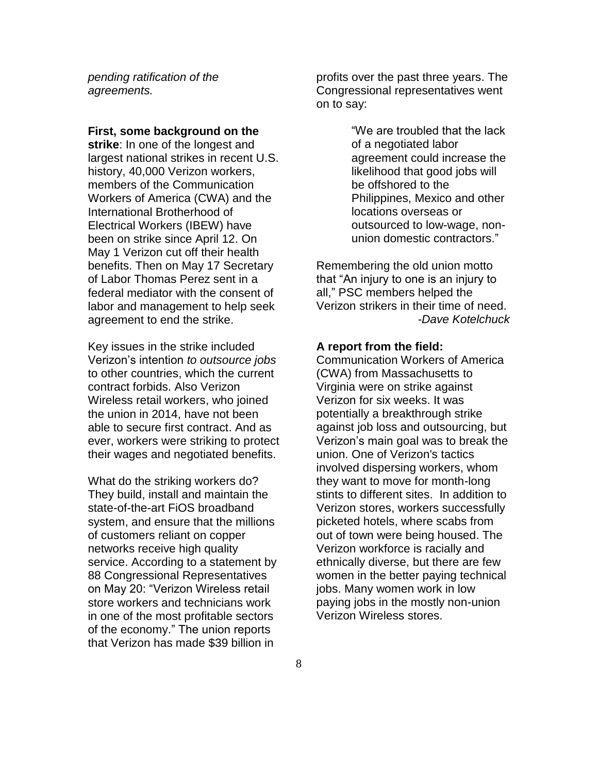*pending ratification of the agreements.*

#### **First, some background on the**

**strike**: In one of the longest and largest national strikes in recent U.S. history, 40,000 Verizon workers, members of the Communication Workers of America (CWA) and the International Brotherhood of Electrical Workers (IBEW) have been on strike since April 12. On May 1 Verizon cut off their health benefits. Then on May 17 Secretary of Labor Thomas Perez sent in a federal mediator with the consent of labor and management to help seek agreement to end the strike.

Key issues in the strike included Verizon's intention *to outsource jobs* to other countries, which the current contract forbids. Also Verizon Wireless retail workers, who joined the union in 2014, have not been able to secure first contract. And as ever, workers were striking to protect their wages and negotiated benefits.

What do the striking workers do? They build, install and maintain the state-of-the-art FiOS broadband system, and ensure that the millions of customers reliant on copper networks receive high quality service. According to a statement by 88 Congressional Representatives on May 20: "Verizon Wireless retail store workers and technicians work in one of the most profitable sectors of the economy." The union reports that Verizon has made \$39 billion in

profits over the past three years. The Congressional representatives went on to say:

> "We are troubled that the lack of a negotiated labor agreement could increase the likelihood that good jobs will be offshored to the Philippines, Mexico and other locations overseas or outsourced to low-wage, nonunion domestic contractors."

Remembering the old union motto that "An injury to one is an injury to all," PSC members helped the Verizon strikers in their time of need. *-Dave Kotelchuck*

#### **A report from the field:**

Communication Workers of America (CWA) from Massachusetts to Virginia were on strike against Verizon for six weeks. It was potentially a breakthrough strike against job loss and outsourcing, but Verizon's main goal was to break the union. One of Verizon's tactics involved dispersing workers, whom they want to move for month-long stints to different sites. In addition to Verizon stores, workers successfully picketed hotels, where scabs from out of town were being housed. The Verizon workforce is racially and ethnically diverse, but there are few women in the better paying technical jobs. Many women work in low paying jobs in the mostly non-union Verizon Wireless stores.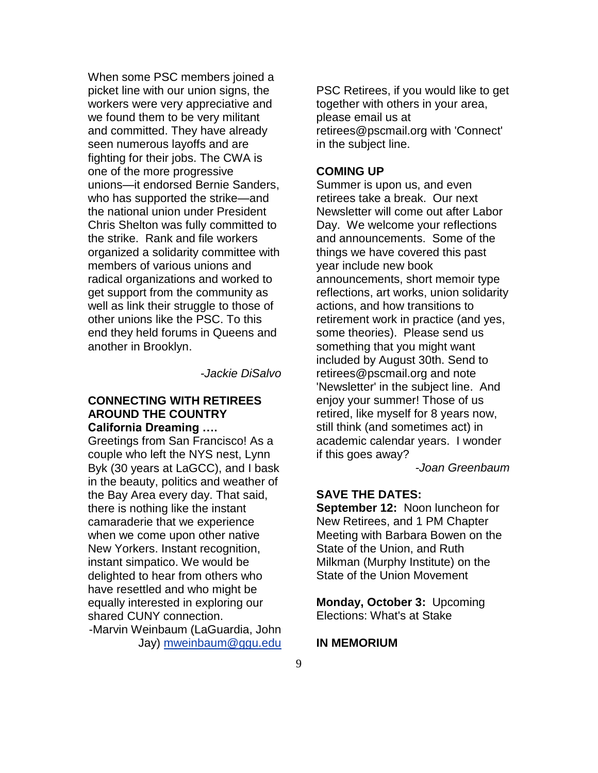When some PSC members joined a picket line with our union signs, the workers were very appreciative and we found them to be very militant and committed. They have already seen numerous layoffs and are fighting for their jobs. The CWA is one of the more progressive unions—it endorsed Bernie Sanders, who has supported the strike—and the national union under President Chris Shelton was fully committed to the strike. Rank and file workers organized a solidarity committee with members of various unions and radical organizations and worked to get support from the community as well as link their struggle to those of other unions like the PSC. To this end they held forums in Queens and another in Brooklyn.

*-Jackie DiSalvo*

#### **CONNECTING WITH RETIREES AROUND THE COUNTRY California Dreaming ….**

Greetings from San Francisco! As a couple who left the NYS nest, Lynn Byk (30 years at LaGCC), and I bask in the beauty, politics and weather of the Bay Area every day. That said, there is nothing like the instant camaraderie that we experience when we come upon other native New Yorkers. Instant recognition, instant simpatico. We would be delighted to hear from others who have resettled and who might be equally interested in exploring our shared CUNY connection.

-Marvin Weinbaum (LaGuardia, John Jay) [mweinbaum@ggu.edu](mailto:mweinbaum@ggu.edu)

PSC Retirees, if you would like to get together with others in your area, please email us at retirees@pscmail.org with 'Connect' in the subject line.

#### **COMING UP**

Summer is upon us, and even retirees take a break. Our next Newsletter will come out after Labor Day. We welcome your reflections and announcements. Some of the things we have covered this past year include new book announcements, short memoir type reflections, art works, union solidarity actions, and how transitions to retirement work in practice (and yes, some theories). Please send us something that you might want included by August 30th. Send to retirees@pscmail.org and note 'Newsletter' in the subject line. And enjoy your summer! Those of us retired, like myself for 8 years now, still think (and sometimes act) in academic calendar years. I wonder if this goes away?

*-Joan Greenbaum*

#### **SAVE THE DATES:**

**September 12:** Noon luncheon for New Retirees, and 1 PM Chapter Meeting with Barbara Bowen on the State of the Union, and Ruth Milkman (Murphy Institute) on the State of the Union Movement

**Monday, October 3:** Upcoming Elections: What's at Stake

#### **IN MEMORIUM**